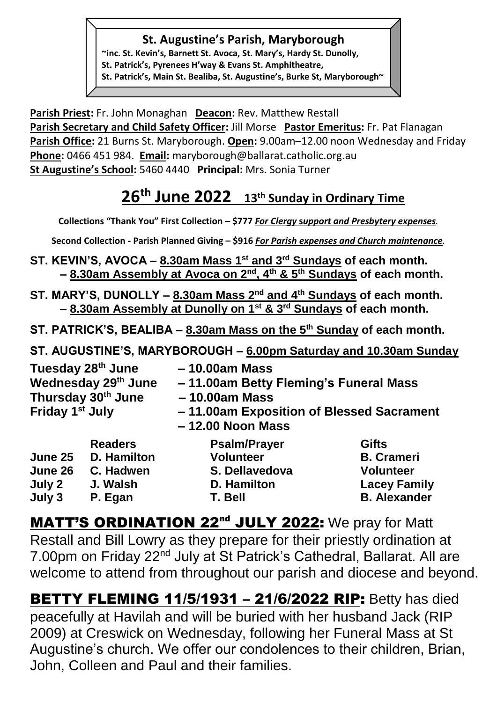#### **St. Augustine's Parish, Maryborough**

**~inc. St. Kevin's, Barnett St. Avoca, St. Mary's, Hardy St. Dunolly, St. Patrick's, Pyrenees H'way & Evans St. Amphitheatre, St. Patrick's, Main St. Bealiba, St. Augustine's, Burke St, Maryborough~**

**Parish Priest:** Fr. John Monaghan **Deacon:** Rev. Matthew Restall Parish Secretary and Child Safety Officer: Jill Morse Pastor Emeritus: Fr. Pat Flanagan **Parish Office:** 21 Burns St. Maryborough. **Open:** 9.00am–12.00 noon Wednesday and Friday **Phone:** 0466 451 984. **Email:** [maryborough@ballarat.catholic.org.au](mailto:maryborough@ballarat.catholic.org.au)  **St Augustine's School:** 5460 4440 **Principal:** Mrs. Sonia Turner

# **26th June 2022 13th Sunday in Ordinary Time**

**Collections "Thank You" First Collection – \$777** *For Clergy* **s***upport and Presbytery expenses.* 

**Second Collection - Parish Planned Giving – \$916** *For Parish expenses and Church maintenance.*

- **ST. KEVIN'S, AVOCA – 8.30am Mass 1st and 3rd Sundays of each month. – 8.30am Assembly at Avoca on 2nd, 4th & 5th Sundays of each month.**
- **ST. MARY'S, DUNOLLY – 8.30am Mass 2nd and 4th Sundays of each month. – 8.30am Assembly at Dunolly on 1st & 3rd Sundays of each month.**
- **ST. PATRICK'S, BEALIBA – 8.30am Mass on the 5th Sunday of each month.**
- **ST. AUGUSTINE'S, MARYBOROUGH – 6.00pm Saturday and 10.30am Sunday**

| Tuesday 28 <sup>th</sup> June<br>Wednesday 29th June<br>Thursday 30 <sup>th</sup> June<br>Friday 1 <sup>st</sup> July |                    | $-10.00am$ Mass<br>-11.00am Betty Fleming's Funeral Mass<br>$-10.00am$ Mass<br>-11.00am Exposition of Blessed Sacrament<br>$-12.00$ Noon Mass |                     |  |
|-----------------------------------------------------------------------------------------------------------------------|--------------------|-----------------------------------------------------------------------------------------------------------------------------------------------|---------------------|--|
|                                                                                                                       | <b>Readers</b>     | <b>Psalm/Prayer</b>                                                                                                                           | <b>Gifts</b>        |  |
| June 25                                                                                                               | <b>D.</b> Hamilton | <b>Volunteer</b>                                                                                                                              | <b>B.</b> Crameri   |  |
| June 26                                                                                                               | C. Hadwen          | S. Dellavedova                                                                                                                                | <b>Volunteer</b>    |  |
| July 2                                                                                                                | J. Walsh           | D. Hamilton                                                                                                                                   | <b>Lacey Family</b> |  |
| July 3                                                                                                                | P. Egan            | T. Bell                                                                                                                                       | <b>B.</b> Alexander |  |

MATT'S ORDINATION 22<sup>nd</sup> JULY 2022: We pray for Matt Restall and Bill Lowry as they prepare for their priestly ordination at 7.00pm on Friday 22<sup>nd</sup> July at St Patrick's Cathedral, Ballarat. All are welcome to attend from throughout our parish and diocese and beyond.

**BETTY FLEMING 11/5/1931 - 21/6/2022 RIP: Betty has died** peacefully at Havilah and will be buried with her husband Jack (RIP 2009) at Creswick on Wednesday, following her Funeral Mass at St Augustine's church. We offer our condolences to their children, Brian, John, Colleen and Paul and their families.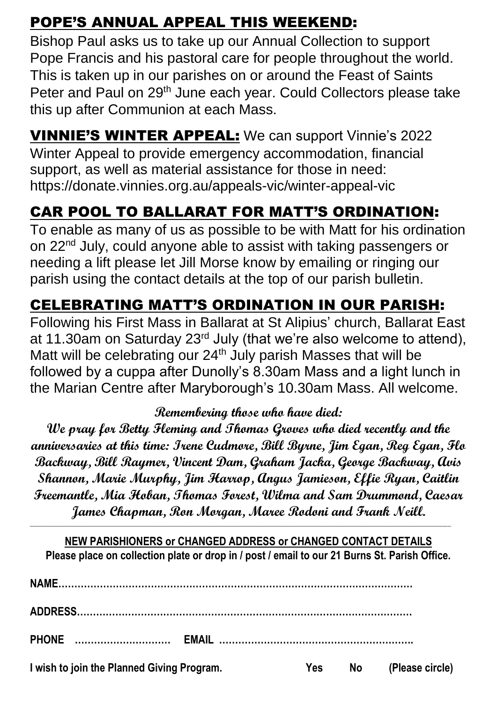## POPE'S ANNUAL APPEAL THIS WEEKEND:

Bishop Paul asks us to take up our Annual Collection to support Pope Francis and his pastoral care for people throughout the world. This is taken up in our parishes on or around the Feast of Saints Peter and Paul on 29<sup>th</sup> June each year. Could Collectors please take this up after Communion at each Mass.

**VINNIE'S WINTER APPEAL:** We can support Vinnie's 2022 Winter Appeal to provide emergency accommodation, financial support, as well as material assistance for those in need: <https://donate.vinnies.org.au/appeals-vic/winter-appeal-vic>

## CAR POOL TO BALLARAT FOR MATT'S ORDINATION:

To enable as many of us as possible to be with Matt for his ordination on 22<sup>nd</sup> July, could anyone able to assist with taking passengers or needing a lift please let Jill Morse know by emailing or ringing our parish using the contact details at the top of our parish bulletin.

## CELEBRATING MATT'S ORDINATION IN OUR PARISH:

Following his First Mass in Ballarat at St Alipius' church, Ballarat East at 11.30am on Saturday 23<sup>rd</sup> July (that we're also welcome to attend), Matt will be celebrating our  $24<sup>th</sup>$  July parish Masses that will be followed by a cuppa after Dunolly's 8.30am Mass and a light lunch in the Marian Centre after Maryborough's 10.30am Mass. All welcome.

#### **Remembering those who have died:**

**We pray for Betty Fleming and Thomas Groves who died recently and the anniversaries at this time: Irene Cudmore, Bill Byrne, Jim Egan, Reg Egan, Flo Backway, Bill Raymer, Vincent Dam, Graham Jacka, George Backway, Avis Shannon, Marie Murphy, Jim Harrop, Angus Jamieson, Effie Ryan, Caitlin Freemantle, Mia Hoban, Thomas Forest, Wilma and Sam Drummond, Caesar James Chapman, Ron Morgan, Maree Rodoni and Frank Neill.** 

**NEW PARISHIONERS or CHANGED ADDRESS or CHANGED CONTACT DETAILS Please place on collection plate or drop in / post / email to our 21 Burns St. Parish Office.**

**\_\_\_\_\_\_\_\_\_\_\_\_\_\_\_\_\_\_\_\_\_\_\_\_\_\_\_\_\_\_\_\_\_\_\_\_\_\_\_\_\_\_\_\_\_\_\_\_\_\_\_\_\_\_\_\_\_\_\_\_\_\_\_\_\_\_\_\_\_\_\_\_\_\_\_\_\_\_\_\_\_\_\_\_\_\_\_\_\_\_\_\_\_\_\_\_\_\_\_\_\_\_\_\_\_\_\_\_\_\_\_\_\_\_\_\_\_\_\_\_\_\_\_\_\_\_**

| <b>PHONE</b>                               |     |           |                 |  |
|--------------------------------------------|-----|-----------|-----------------|--|
| I wish to join the Planned Giving Program. | Yes | <b>No</b> | (Please circle) |  |